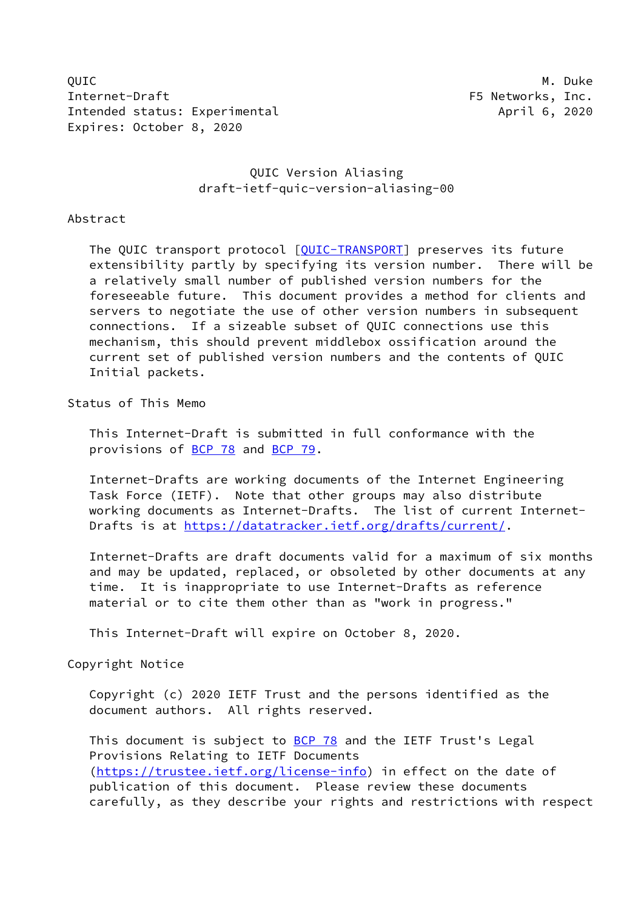QUIC M. Duke Internet-Draft F5 Networks, Inc. Intended status: Experimental April 6, 2020 Expires: October 8, 2020

## QUIC Version Aliasing draft-ietf-quic-version-aliasing-00

Abstract

The QUIC transport protocol [\[QUIC-TRANSPORT](#page-10-0)] preserves its future extensibility partly by specifying its version number. There will be a relatively small number of published version numbers for the foreseeable future. This document provides a method for clients and servers to negotiate the use of other version numbers in subsequent connections. If a sizeable subset of QUIC connections use this mechanism, this should prevent middlebox ossification around the current set of published version numbers and the contents of QUIC Initial packets.

Status of This Memo

 This Internet-Draft is submitted in full conformance with the provisions of [BCP 78](https://datatracker.ietf.org/doc/pdf/bcp78) and [BCP 79](https://datatracker.ietf.org/doc/pdf/bcp79).

 Internet-Drafts are working documents of the Internet Engineering Task Force (IETF). Note that other groups may also distribute working documents as Internet-Drafts. The list of current Internet- Drafts is at<https://datatracker.ietf.org/drafts/current/>.

 Internet-Drafts are draft documents valid for a maximum of six months and may be updated, replaced, or obsoleted by other documents at any time. It is inappropriate to use Internet-Drafts as reference material or to cite them other than as "work in progress."

This Internet-Draft will expire on October 8, 2020.

Copyright Notice

 Copyright (c) 2020 IETF Trust and the persons identified as the document authors. All rights reserved.

This document is subject to **[BCP 78](https://datatracker.ietf.org/doc/pdf/bcp78)** and the IETF Trust's Legal Provisions Relating to IETF Documents [\(https://trustee.ietf.org/license-info](https://trustee.ietf.org/license-info)) in effect on the date of publication of this document. Please review these documents carefully, as they describe your rights and restrictions with respect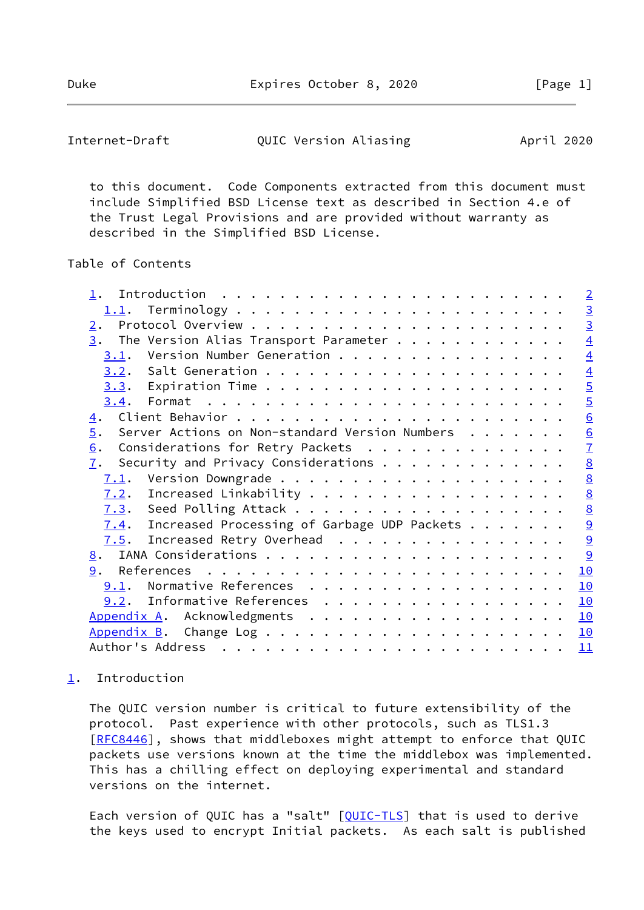Duke Expires October 8, 2020 [Page 1]

<span id="page-1-1"></span>Internet-Draft **QUIC Version Aliasing** April 2020

 to this document. Code Components extracted from this document must include Simplified BSD License text as described in Section 4.e of the Trust Legal Provisions and are provided without warranty as described in the Simplified BSD License.

### Table of Contents

| $\overline{2}$                                                                                                                                                                                                                                                                                                                                                                                                                                                                                                                                                                                            |
|-----------------------------------------------------------------------------------------------------------------------------------------------------------------------------------------------------------------------------------------------------------------------------------------------------------------------------------------------------------------------------------------------------------------------------------------------------------------------------------------------------------------------------------------------------------------------------------------------------------|
|                                                                                                                                                                                                                                                                                                                                                                                                                                                                                                                                                                                                           |
| $\frac{3}{3}$                                                                                                                                                                                                                                                                                                                                                                                                                                                                                                                                                                                             |
| $\overline{4}$                                                                                                                                                                                                                                                                                                                                                                                                                                                                                                                                                                                            |
| $\overline{4}$                                                                                                                                                                                                                                                                                                                                                                                                                                                                                                                                                                                            |
| $\overline{4}$                                                                                                                                                                                                                                                                                                                                                                                                                                                                                                                                                                                            |
| $\overline{5}$                                                                                                                                                                                                                                                                                                                                                                                                                                                                                                                                                                                            |
| $\overline{5}$                                                                                                                                                                                                                                                                                                                                                                                                                                                                                                                                                                                            |
| $\underline{6}$                                                                                                                                                                                                                                                                                                                                                                                                                                                                                                                                                                                           |
| $\underline{6}$                                                                                                                                                                                                                                                                                                                                                                                                                                                                                                                                                                                           |
| $\mathbf{Z}$                                                                                                                                                                                                                                                                                                                                                                                                                                                                                                                                                                                              |
| 8                                                                                                                                                                                                                                                                                                                                                                                                                                                                                                                                                                                                         |
| 8                                                                                                                                                                                                                                                                                                                                                                                                                                                                                                                                                                                                         |
| $\underline{8}$                                                                                                                                                                                                                                                                                                                                                                                                                                                                                                                                                                                           |
| $\underline{8}$                                                                                                                                                                                                                                                                                                                                                                                                                                                                                                                                                                                           |
| $\overline{a}$                                                                                                                                                                                                                                                                                                                                                                                                                                                                                                                                                                                            |
| $\overline{9}$                                                                                                                                                                                                                                                                                                                                                                                                                                                                                                                                                                                            |
| 9                                                                                                                                                                                                                                                                                                                                                                                                                                                                                                                                                                                                         |
| 10                                                                                                                                                                                                                                                                                                                                                                                                                                                                                                                                                                                                        |
| 10                                                                                                                                                                                                                                                                                                                                                                                                                                                                                                                                                                                                        |
| 10                                                                                                                                                                                                                                                                                                                                                                                                                                                                                                                                                                                                        |
| 10                                                                                                                                                                                                                                                                                                                                                                                                                                                                                                                                                                                                        |
| 10                                                                                                                                                                                                                                                                                                                                                                                                                                                                                                                                                                                                        |
| 11                                                                                                                                                                                                                                                                                                                                                                                                                                                                                                                                                                                                        |
| The Version Alias Transport Parameter $\dots$<br>Version Number Generation<br>Server Actions on Non-standard Version Numbers<br>Considerations for Retry Packets<br>Security and Privacy Considerations<br>Increased Processing of Garbage UDP Packets<br>Increased Retry Overhead<br>Normative References<br>9.2. Informative References<br>Appendix A. Acknowledgments<br>. The contract of the contract of the contract of the contract of the contract of the contract of the contract of the contract of the contract of the contract of the contract of the contract of the contract of the contrac |

## <span id="page-1-0"></span>[1](#page-1-0). Introduction

 The QUIC version number is critical to future extensibility of the protocol. Past experience with other protocols, such as TLS1.3 [\[RFC8446](https://datatracker.ietf.org/doc/pdf/rfc8446)], shows that middleboxes might attempt to enforce that QUIC packets use versions known at the time the middlebox was implemented. This has a chilling effect on deploying experimental and standard versions on the internet.

Each version of QUIC has a "salt" [[QUIC-TLS\]](#page-10-6) that is used to derive the keys used to encrypt Initial packets. As each salt is published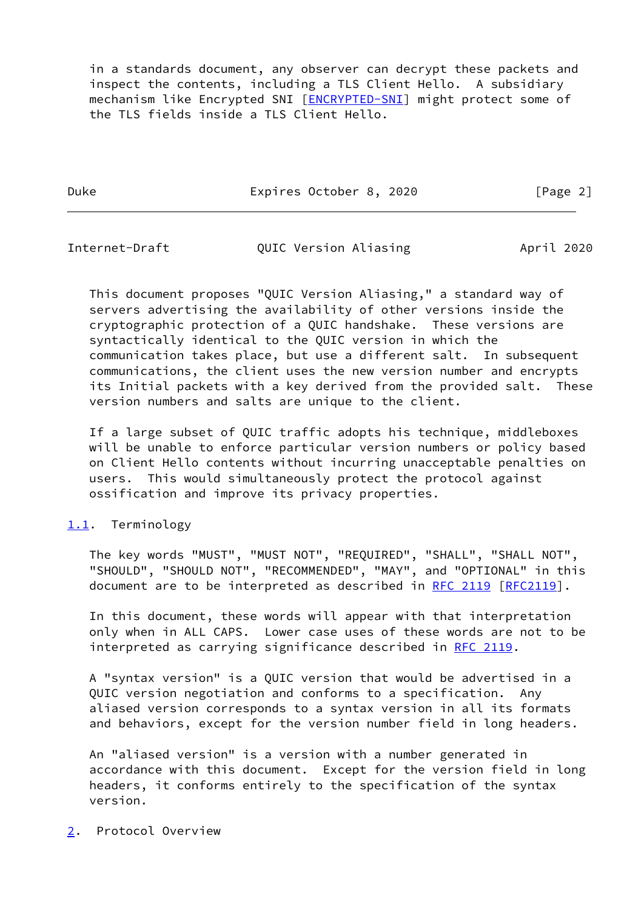in a standards document, any observer can decrypt these packets and inspect the contents, including a TLS Client Hello. A subsidiary mechanism like Encrypted SNI [\[ENCRYPTED-SNI\]](#page-10-7) might protect some of the TLS fields inside a TLS Client Hello.

Duke Expires October 8, 2020 [Page 2]

<span id="page-2-1"></span>Internet-Draft QUIC Version Aliasing April 2020

 This document proposes "QUIC Version Aliasing," a standard way of servers advertising the availability of other versions inside the cryptographic protection of a QUIC handshake. These versions are syntactically identical to the QUIC version in which the communication takes place, but use a different salt. In subsequent communications, the client uses the new version number and encrypts its Initial packets with a key derived from the provided salt. These version numbers and salts are unique to the client.

 If a large subset of QUIC traffic adopts his technique, middleboxes will be unable to enforce particular version numbers or policy based on Client Hello contents without incurring unacceptable penalties on users. This would simultaneously protect the protocol against ossification and improve its privacy properties.

# <span id="page-2-0"></span>[1.1](#page-2-0). Terminology

 The key words "MUST", "MUST NOT", "REQUIRED", "SHALL", "SHALL NOT", "SHOULD", "SHOULD NOT", "RECOMMENDED", "MAY", and "OPTIONAL" in this document are to be interpreted as described in [RFC 2119 \[RFC2119](https://datatracker.ietf.org/doc/pdf/rfc2119)].

 In this document, these words will appear with that interpretation only when in ALL CAPS. Lower case uses of these words are not to be interpreted as carrying significance described in [RFC 2119](https://datatracker.ietf.org/doc/pdf/rfc2119).

 A "syntax version" is a QUIC version that would be advertised in a QUIC version negotiation and conforms to a specification. Any aliased version corresponds to a syntax version in all its formats and behaviors, except for the version number field in long headers.

 An "aliased version" is a version with a number generated in accordance with this document. Except for the version field in long headers, it conforms entirely to the specification of the syntax version.

<span id="page-2-2"></span>[2](#page-2-2). Protocol Overview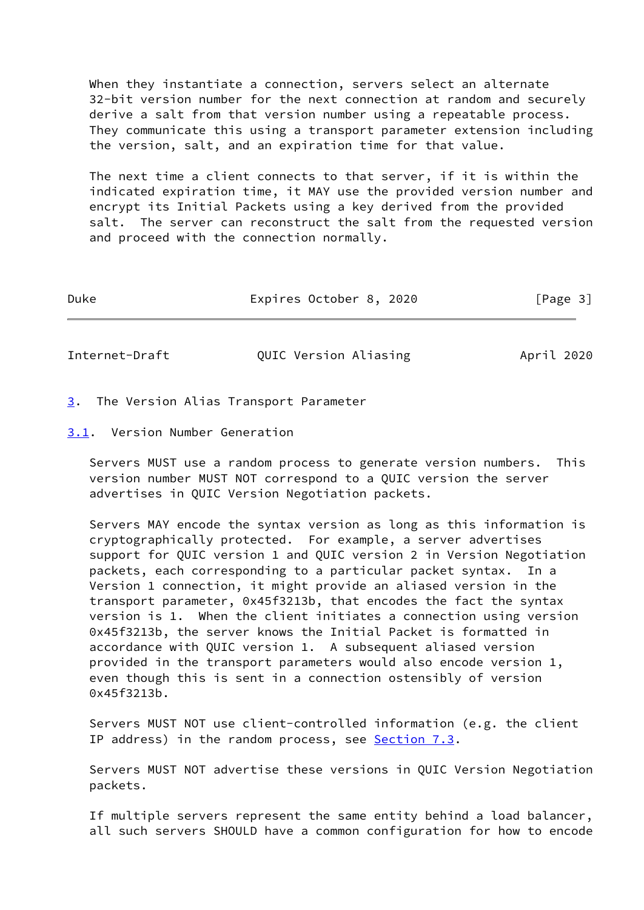When they instantiate a connection, servers select an alternate 32-bit version number for the next connection at random and securely derive a salt from that version number using a repeatable process. They communicate this using a transport parameter extension including the version, salt, and an expiration time for that value.

 The next time a client connects to that server, if it is within the indicated expiration time, it MAY use the provided version number and encrypt its Initial Packets using a key derived from the provided salt. The server can reconstruct the salt from the requested version and proceed with the connection normally.

| Duke | Expires October 8, 2020 | [Page 3] |
|------|-------------------------|----------|
|      |                         |          |

<span id="page-3-1"></span>Internet-Draft **QUIC Version Aliasing** April 2020

- <span id="page-3-0"></span>[3](#page-3-0). The Version Alias Transport Parameter
- <span id="page-3-2"></span>[3.1](#page-3-2). Version Number Generation

 Servers MUST use a random process to generate version numbers. This version number MUST NOT correspond to a QUIC version the server advertises in QUIC Version Negotiation packets.

 Servers MAY encode the syntax version as long as this information is cryptographically protected. For example, a server advertises support for QUIC version 1 and QUIC version 2 in Version Negotiation packets, each corresponding to a particular packet syntax. In a Version 1 connection, it might provide an aliased version in the transport parameter, 0x45f3213b, that encodes the fact the syntax version is 1. When the client initiates a connection using version 0x45f3213b, the server knows the Initial Packet is formatted in accordance with QUIC version 1. A subsequent aliased version provided in the transport parameters would also encode version 1, even though this is sent in a connection ostensibly of version 0x45f3213b.

 Servers MUST NOT use client-controlled information (e.g. the client IP address) in the random process, see [Section 7.3](#page-8-2).

 Servers MUST NOT advertise these versions in QUIC Version Negotiation packets.

 If multiple servers represent the same entity behind a load balancer, all such servers SHOULD have a common configuration for how to encode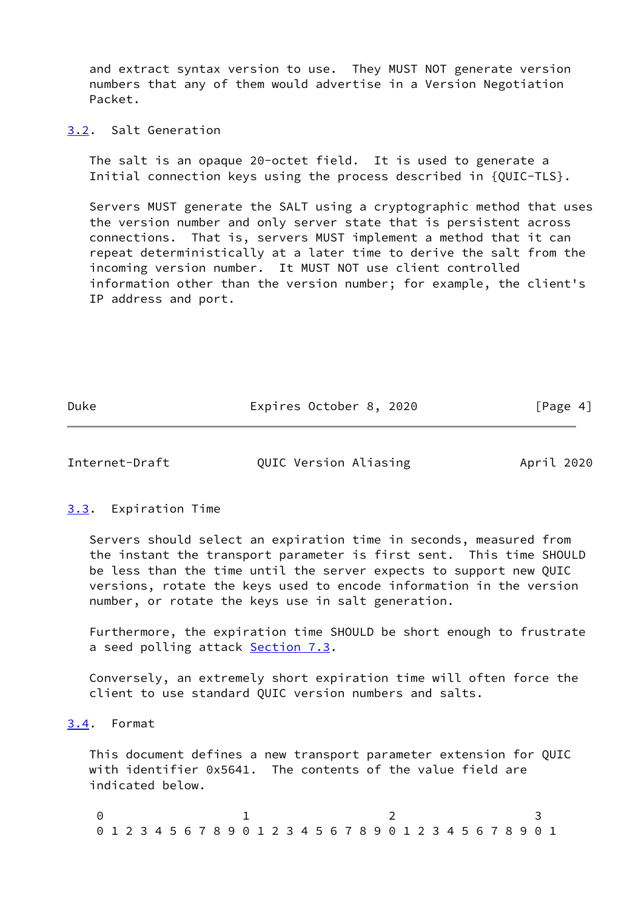and extract syntax version to use. They MUST NOT generate version numbers that any of them would advertise in a Version Negotiation Packet.

<span id="page-4-0"></span>[3.2](#page-4-0). Salt Generation

 The salt is an opaque 20-octet field. It is used to generate a Initial connection keys using the process described in {QUIC-TLS}.

 Servers MUST generate the SALT using a cryptographic method that uses the version number and only server state that is persistent across connections. That is, servers MUST implement a method that it can repeat deterministically at a later time to derive the salt from the incoming version number. It MUST NOT use client controlled information other than the version number; for example, the client's IP address and port.

Duke Expires October 8, 2020 [Page 4]

<span id="page-4-2"></span>Internet-Draft QUIC Version Aliasing April 2020

#### <span id="page-4-1"></span>[3.3](#page-4-1). Expiration Time

 Servers should select an expiration time in seconds, measured from the instant the transport parameter is first sent. This time SHOULD be less than the time until the server expects to support new QUIC versions, rotate the keys used to encode information in the version number, or rotate the keys use in salt generation.

 Furthermore, the expiration time SHOULD be short enough to frustrate a seed polling attack [Section 7.3](#page-8-2).

 Conversely, an extremely short expiration time will often force the client to use standard QUIC version numbers and salts.

### <span id="page-4-3"></span>[3.4](#page-4-3). Format

 This document defines a new transport parameter extension for QUIC with identifier 0x5641. The contents of the value field are indicated below.

0 1 2 3 0 1 2 3 4 5 6 7 8 9 0 1 2 3 4 5 6 7 8 9 0 1 2 3 4 5 6 7 8 9 0 1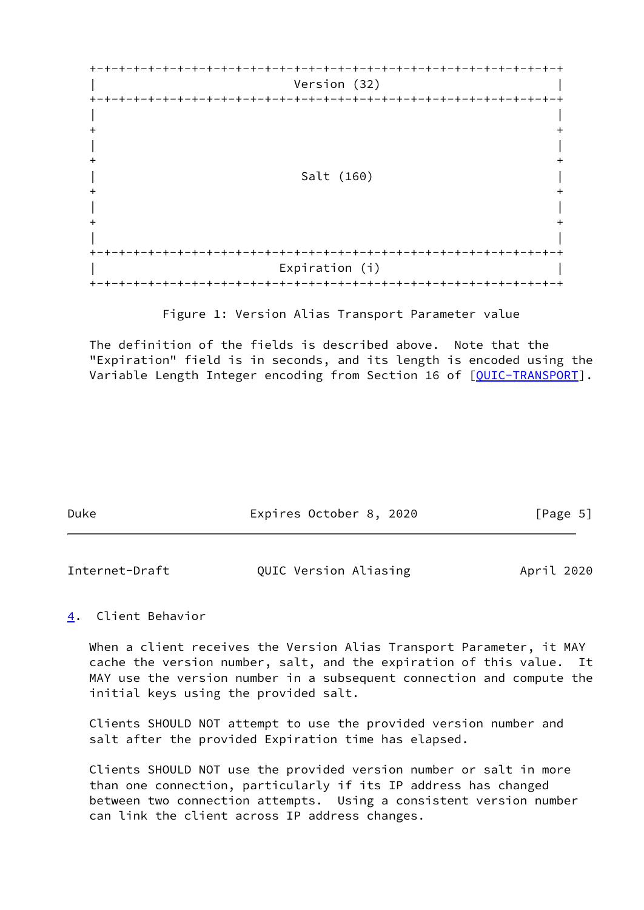

Figure 1: Version Alias Transport Parameter value

 The definition of the fields is described above. Note that the "Expiration" field is in seconds, and its length is encoded using the Variable Length Integer encoding from Section 16 of [\[QUIC-TRANSPORT](#page-10-0)].

| Duke | Expires October 8, 2020 | [Page 5] |
|------|-------------------------|----------|
|      |                         |          |

<span id="page-5-1"></span>

| Internet-Draft | QUIC Version Aliasing | April 2020 |
|----------------|-----------------------|------------|
|                |                       |            |

# <span id="page-5-0"></span>[4](#page-5-0). Client Behavior

 When a client receives the Version Alias Transport Parameter, it MAY cache the version number, salt, and the expiration of this value. It MAY use the version number in a subsequent connection and compute the initial keys using the provided salt.

 Clients SHOULD NOT attempt to use the provided version number and salt after the provided Expiration time has elapsed.

 Clients SHOULD NOT use the provided version number or salt in more than one connection, particularly if its IP address has changed between two connection attempts. Using a consistent version number can link the client across IP address changes.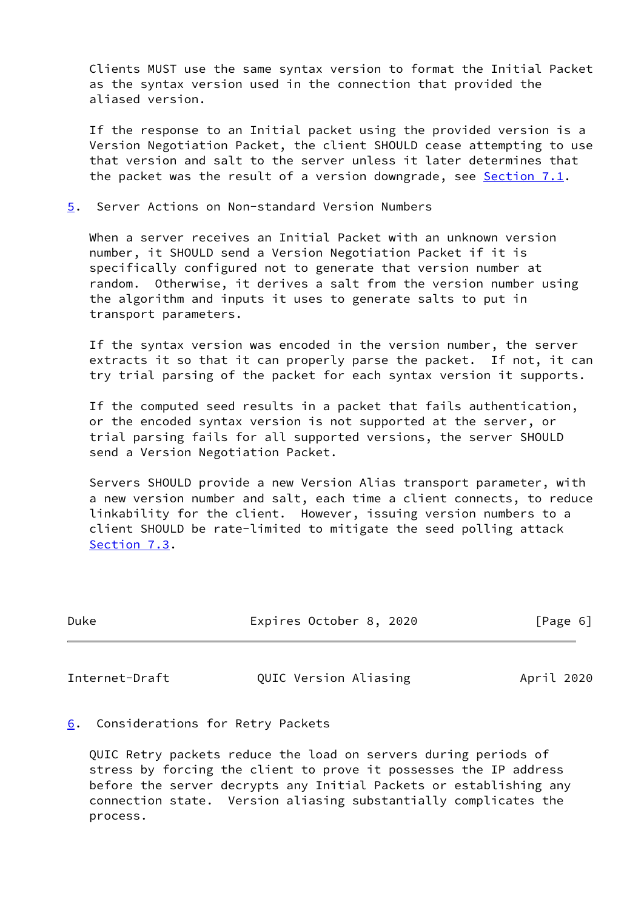Clients MUST use the same syntax version to format the Initial Packet as the syntax version used in the connection that provided the aliased version.

 If the response to an Initial packet using the provided version is a Version Negotiation Packet, the client SHOULD cease attempting to use that version and salt to the server unless it later determines that the packet was the result of a version downgrade, see [Section 7.1](#page-8-0).

<span id="page-6-0"></span>[5](#page-6-0). Server Actions on Non-standard Version Numbers

 When a server receives an Initial Packet with an unknown version number, it SHOULD send a Version Negotiation Packet if it is specifically configured not to generate that version number at random. Otherwise, it derives a salt from the version number using the algorithm and inputs it uses to generate salts to put in transport parameters.

 If the syntax version was encoded in the version number, the server extracts it so that it can properly parse the packet. If not, it can try trial parsing of the packet for each syntax version it supports.

 If the computed seed results in a packet that fails authentication, or the encoded syntax version is not supported at the server, or trial parsing fails for all supported versions, the server SHOULD send a Version Negotiation Packet.

 Servers SHOULD provide a new Version Alias transport parameter, with a new version number and salt, each time a client connects, to reduce linkability for the client. However, issuing version numbers to a client SHOULD be rate-limited to mitigate the seed polling attack [Section 7.3](#page-8-2).

| Duke | Expires October 8, 2020 | [Page 6] |
|------|-------------------------|----------|
|      |                         |          |

<span id="page-6-2"></span>Internet-Draft **QUIC Version Aliasing** April 2020

<span id="page-6-1"></span>[6](#page-6-1). Considerations for Retry Packets

 QUIC Retry packets reduce the load on servers during periods of stress by forcing the client to prove it possesses the IP address before the server decrypts any Initial Packets or establishing any connection state. Version aliasing substantially complicates the process.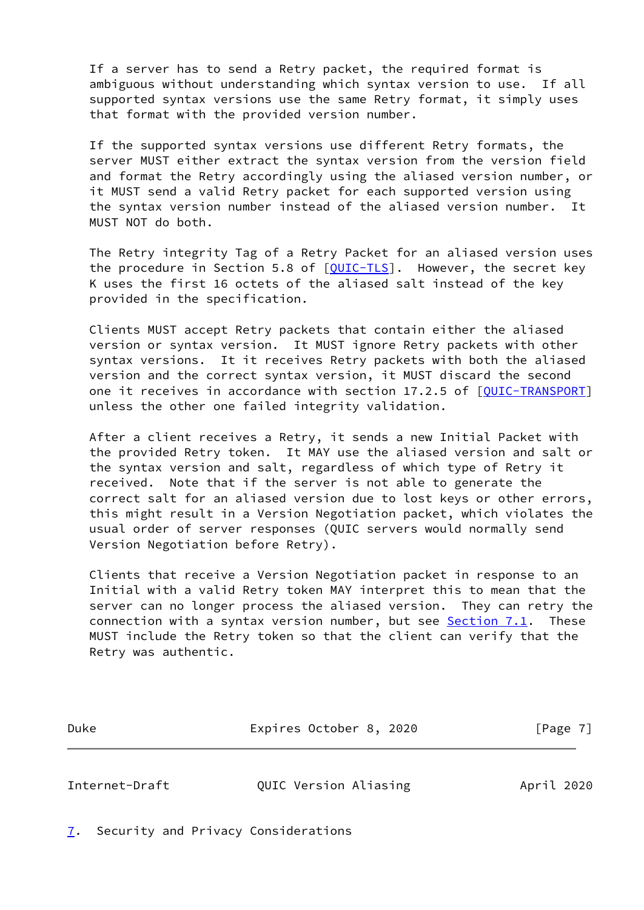If a server has to send a Retry packet, the required format is ambiguous without understanding which syntax version to use. If all supported syntax versions use the same Retry format, it simply uses that format with the provided version number.

 If the supported syntax versions use different Retry formats, the server MUST either extract the syntax version from the version field and format the Retry accordingly using the aliased version number, or it MUST send a valid Retry packet for each supported version using the syntax version number instead of the aliased version number. It MUST NOT do both.

 The Retry integrity Tag of a Retry Packet for an aliased version uses the procedure in Section 5.8 of  $[QUIC-TLS]$  $[QUIC-TLS]$ . However, the secret key K uses the first 16 octets of the aliased salt instead of the key provided in the specification.

 Clients MUST accept Retry packets that contain either the aliased version or syntax version. It MUST ignore Retry packets with other syntax versions. It it receives Retry packets with both the aliased version and the correct syntax version, it MUST discard the second one it receives in accordance with section 17.2.5 of [\[QUIC-TRANSPORT](#page-10-0)] unless the other one failed integrity validation.

 After a client receives a Retry, it sends a new Initial Packet with the provided Retry token. It MAY use the aliased version and salt or the syntax version and salt, regardless of which type of Retry it received. Note that if the server is not able to generate the correct salt for an aliased version due to lost keys or other errors, this might result in a Version Negotiation packet, which violates the usual order of server responses (QUIC servers would normally send Version Negotiation before Retry).

 Clients that receive a Version Negotiation packet in response to an Initial with a valid Retry token MAY interpret this to mean that the server can no longer process the aliased version. They can retry the connection with a syntax version number, but see **Section 7.1.** These MUST include the Retry token so that the client can verify that the Retry was authentic.

Duke Expires October 8, 2020 [Page 7]

<span id="page-7-1"></span>Internet-Draft QUIC Version Aliasing April 2020

<span id="page-7-0"></span>[7](#page-7-0). Security and Privacy Considerations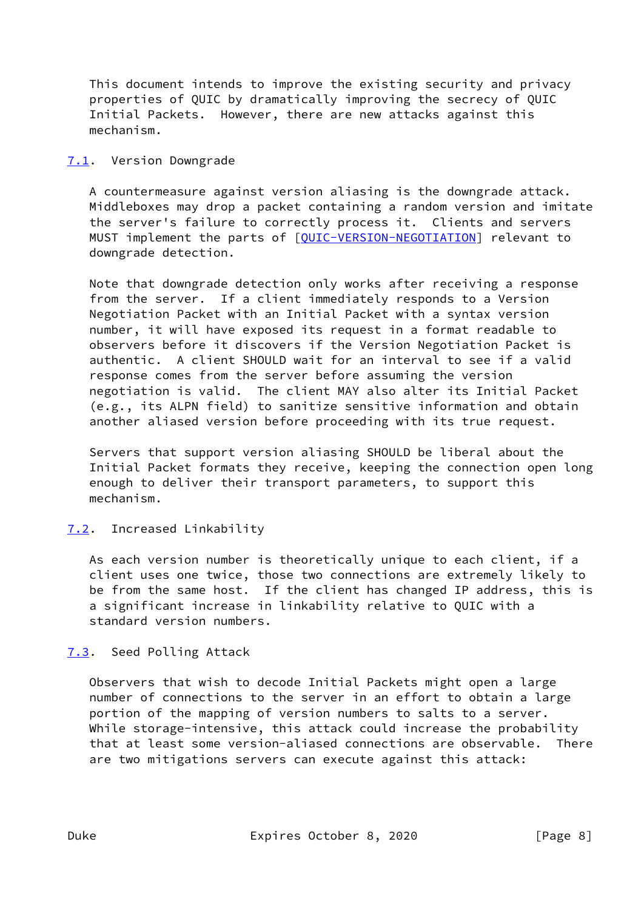This document intends to improve the existing security and privacy properties of QUIC by dramatically improving the secrecy of QUIC Initial Packets. However, there are new attacks against this mechanism.

### <span id="page-8-0"></span>[7.1](#page-8-0). Version Downgrade

 A countermeasure against version aliasing is the downgrade attack. Middleboxes may drop a packet containing a random version and imitate the server's failure to correctly process it. Clients and servers MUST implement the parts of [\[QUIC-VERSION-NEGOTIATION](#page-10-8)] relevant to downgrade detection.

 Note that downgrade detection only works after receiving a response from the server. If a client immediately responds to a Version Negotiation Packet with an Initial Packet with a syntax version number, it will have exposed its request in a format readable to observers before it discovers if the Version Negotiation Packet is authentic. A client SHOULD wait for an interval to see if a valid response comes from the server before assuming the version negotiation is valid. The client MAY also alter its Initial Packet (e.g., its ALPN field) to sanitize sensitive information and obtain another aliased version before proceeding with its true request.

 Servers that support version aliasing SHOULD be liberal about the Initial Packet formats they receive, keeping the connection open long enough to deliver their transport parameters, to support this mechanism.

# <span id="page-8-1"></span>[7.2](#page-8-1). Increased Linkability

 As each version number is theoretically unique to each client, if a client uses one twice, those two connections are extremely likely to be from the same host. If the client has changed IP address, this is a significant increase in linkability relative to QUIC with a standard version numbers.

# <span id="page-8-2"></span>[7.3](#page-8-2). Seed Polling Attack

 Observers that wish to decode Initial Packets might open a large number of connections to the server in an effort to obtain a large portion of the mapping of version numbers to salts to a server. While storage-intensive, this attack could increase the probability that at least some version-aliased connections are observable. There are two mitigations servers can execute against this attack: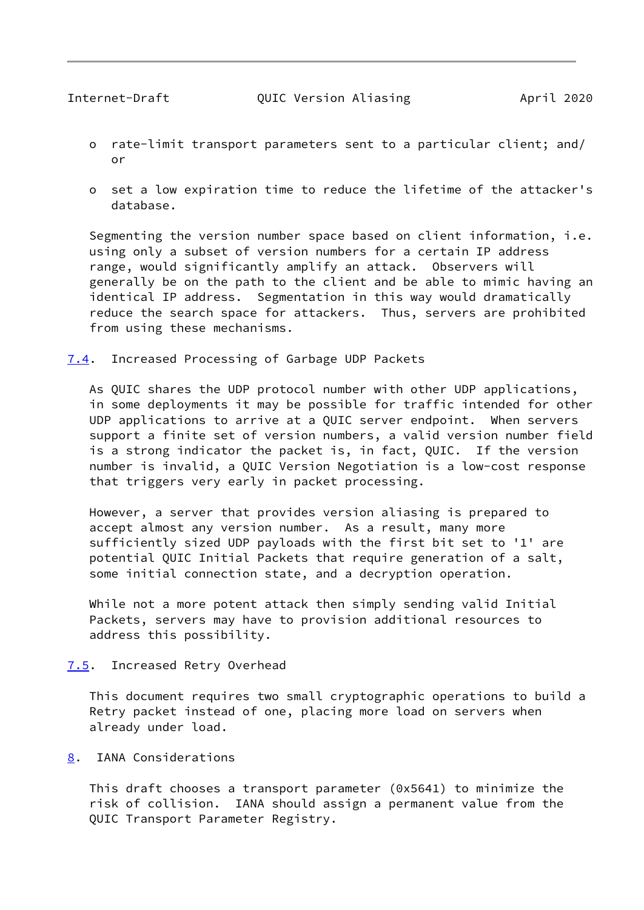- <span id="page-9-1"></span> o rate-limit transport parameters sent to a particular client; and/ or
- o set a low expiration time to reduce the lifetime of the attacker's database.

 Segmenting the version number space based on client information, i.e. using only a subset of version numbers for a certain IP address range, would significantly amplify an attack. Observers will generally be on the path to the client and be able to mimic having an identical IP address. Segmentation in this way would dramatically reduce the search space for attackers. Thus, servers are prohibited from using these mechanisms.

<span id="page-9-0"></span>[7.4](#page-9-0). Increased Processing of Garbage UDP Packets

 As QUIC shares the UDP protocol number with other UDP applications, in some deployments it may be possible for traffic intended for other UDP applications to arrive at a QUIC server endpoint. When servers support a finite set of version numbers, a valid version number field is a strong indicator the packet is, in fact, QUIC. If the version number is invalid, a QUIC Version Negotiation is a low-cost response that triggers very early in packet processing.

 However, a server that provides version aliasing is prepared to accept almost any version number. As a result, many more sufficiently sized UDP payloads with the first bit set to '1' are potential QUIC Initial Packets that require generation of a salt, some initial connection state, and a decryption operation.

 While not a more potent attack then simply sending valid Initial Packets, servers may have to provision additional resources to address this possibility.

<span id="page-9-2"></span>[7.5](#page-9-2). Increased Retry Overhead

 This document requires two small cryptographic operations to build a Retry packet instead of one, placing more load on servers when already under load.

<span id="page-9-3"></span>[8](#page-9-3). IANA Considerations

 This draft chooses a transport parameter (0x5641) to minimize the risk of collision. IANA should assign a permanent value from the QUIC Transport Parameter Registry.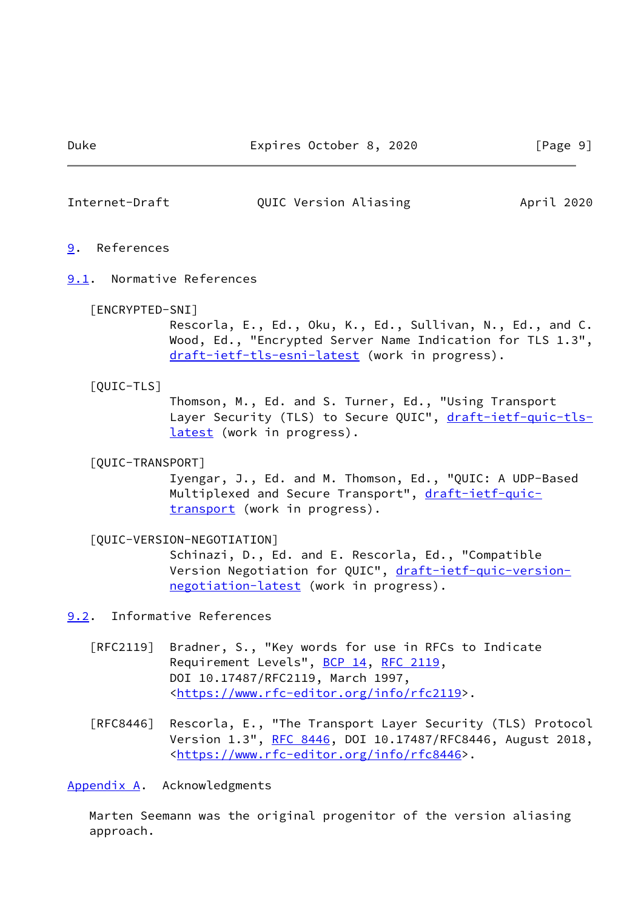<span id="page-10-2"></span>Internet-Draft QUIC Version Aliasing April 2020

#### <span id="page-10-1"></span>[9](#page-10-1). References

<span id="page-10-3"></span>[9.1](#page-10-3). Normative References

#### <span id="page-10-7"></span>[ENCRYPTED-SNI]

 Rescorla, E., Ed., Oku, K., Ed., Sullivan, N., Ed., and C. Wood, Ed., "Encrypted Server Name Indication for TLS 1.3", [draft-ietf-tls-esni-latest](https://datatracker.ietf.org/doc/pdf/draft-ietf-tls-esni-latest) (work in progress).

#### <span id="page-10-6"></span>[QUIC-TLS]

 Thomson, M., Ed. and S. Turner, Ed., "Using Transport Layer Security (TLS) to Secure QUIC", [draft-ietf-quic-tls](https://datatracker.ietf.org/doc/pdf/draft-ietf-quic-tls-latest) [latest](https://datatracker.ietf.org/doc/pdf/draft-ietf-quic-tls-latest) (work in progress).

### <span id="page-10-0"></span>[QUIC-TRANSPORT]

 Iyengar, J., Ed. and M. Thomson, Ed., "QUIC: A UDP-Based Multiplexed and Secure Transport", [draft-ietf-quic](https://datatracker.ietf.org/doc/pdf/draft-ietf-quic-transport) [transport](https://datatracker.ietf.org/doc/pdf/draft-ietf-quic-transport) (work in progress).

### <span id="page-10-8"></span>[QUIC-VERSION-NEGOTIATION]

 Schinazi, D., Ed. and E. Rescorla, Ed., "Compatible Version Negotiation for QUIC", [draft-ietf-quic-version](https://datatracker.ietf.org/doc/pdf/draft-ietf-quic-version-negotiation-latest) [negotiation-latest](https://datatracker.ietf.org/doc/pdf/draft-ietf-quic-version-negotiation-latest) (work in progress).

## <span id="page-10-4"></span>[9.2](#page-10-4). Informative References

- [RFC2119] Bradner, S., "Key words for use in RFCs to Indicate Requirement Levels", [BCP 14](https://datatracker.ietf.org/doc/pdf/bcp14), [RFC 2119](https://datatracker.ietf.org/doc/pdf/rfc2119), DOI 10.17487/RFC2119, March 1997, <[https://www.rfc-editor.org/info/rfc2119>](https://www.rfc-editor.org/info/rfc2119).
- [RFC8446] Rescorla, E., "The Transport Layer Security (TLS) Protocol Version 1.3", [RFC 8446](https://datatracker.ietf.org/doc/pdf/rfc8446), DOI 10.17487/RFC8446, August 2018, <[https://www.rfc-editor.org/info/rfc8446>](https://www.rfc-editor.org/info/rfc8446).

#### <span id="page-10-5"></span>[Appendix A.](#page-10-5) Acknowledgments

 Marten Seemann was the original progenitor of the version aliasing approach.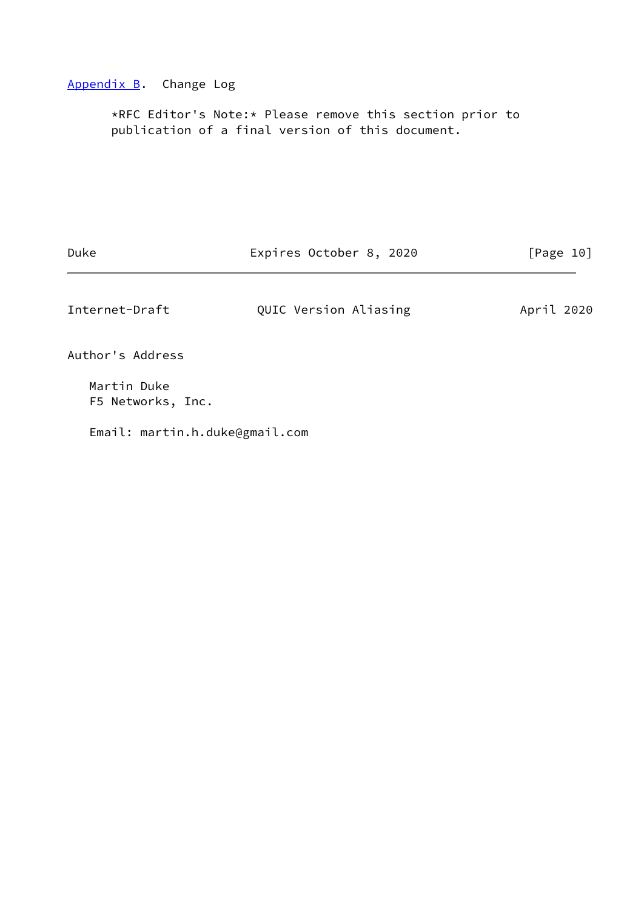### <span id="page-11-0"></span>[Appendix B.](#page-11-0) Change Log

 \*RFC Editor's Note:\* Please remove this section prior to publication of a final version of this document.

Duke Expires October 8, 2020 [Page 10]

<span id="page-11-1"></span>Internet-Draft **QUIC Version Aliasing** April 2020

Author's Address

 Martin Duke F5 Networks, Inc.

Email: martin.h.duke@gmail.com